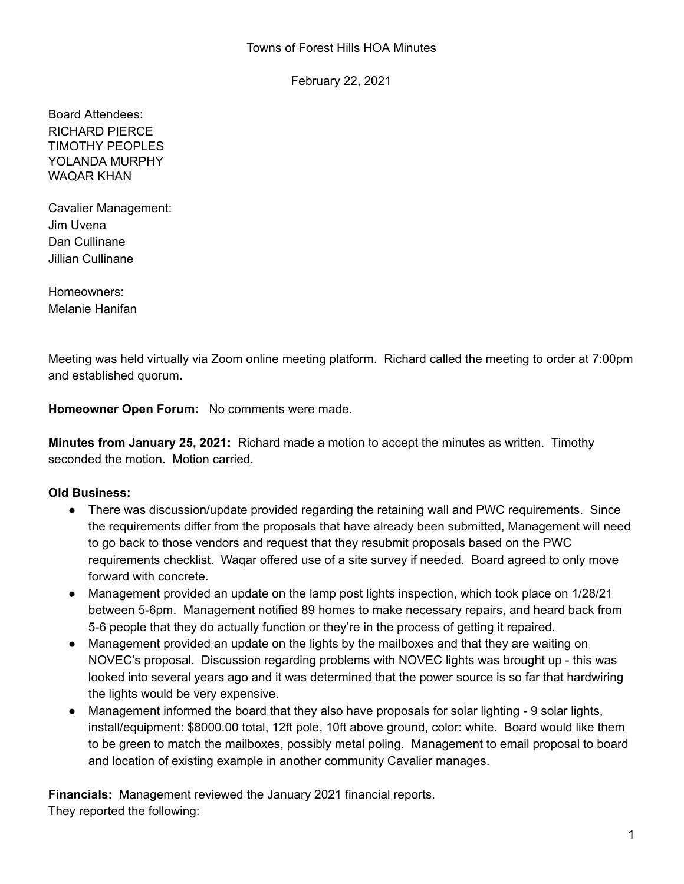February 22, 2021

Board Attendees: RICHARD PIERCE TIMOTHY PEOPLES YOLANDA MURPHY WAQAR KHAN

Cavalier Management: Jim Uvena Dan Cullinane Jillian Cullinane

Homeowners: Melanie Hanifan

Meeting was held virtually via Zoom online meeting platform. Richard called the meeting to order at 7:00pm and established quorum.

**Homeowner Open Forum:** No comments were made.

**Minutes from January 25, 2021:** Richard made a motion to accept the minutes as written. Timothy seconded the motion. Motion carried.

## **Old Business:**

- There was discussion/update provided regarding the retaining wall and PWC requirements. Since the requirements differ from the proposals that have already been submitted, Management will need to go back to those vendors and request that they resubmit proposals based on the PWC requirements checklist. Waqar offered use of a site survey if needed. Board agreed to only move forward with concrete.
- Management provided an update on the lamp post lights inspection, which took place on 1/28/21 between 5-6pm. Management notified 89 homes to make necessary repairs, and heard back from 5-6 people that they do actually function or they're in the process of getting it repaired.
- Management provided an update on the lights by the mailboxes and that they are waiting on NOVEC's proposal. Discussion regarding problems with NOVEC lights was brought up - this was looked into several years ago and it was determined that the power source is so far that hardwiring the lights would be very expensive.
- Management informed the board that they also have proposals for solar lighting 9 solar lights, install/equipment: \$8000.00 total, 12ft pole, 10ft above ground, color: white. Board would like them to be green to match the mailboxes, possibly metal poling. Management to email proposal to board and location of existing example in another community Cavalier manages.

**Financials:** Management reviewed the January 2021 financial reports. They reported the following: